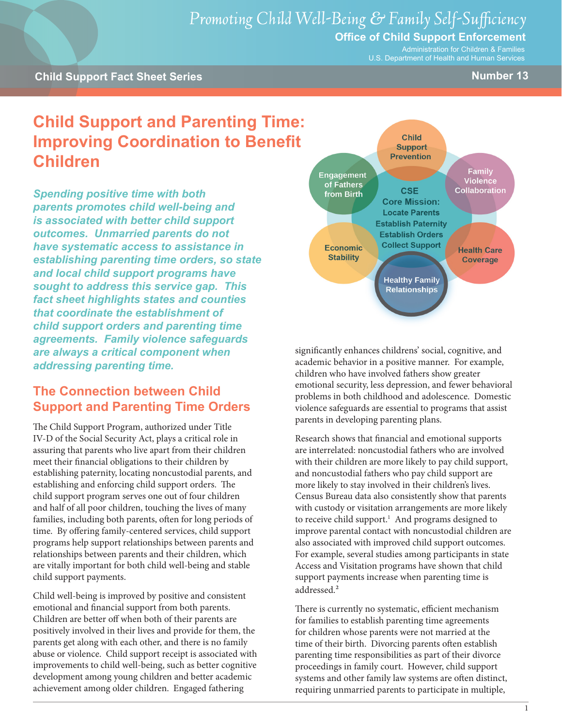# *Promoting Child Well-Being & Family Self-Sufficiency*

### **Office of Child Support Enforcement**

Administration for Children & Families U.S. Department of Health and Human Services

#### **Child Support Fact Sheet Series Number 13**

## **Child Support and Parenting Time: Improving Coordination to Benefit Children**

*Spending positive time with both parents promotes child well-being and is associated with better child support outcomes. Unmarried parents do not have systematic access to assistance in establishing parenting time orders, so state and local child support programs have sought to address this service gap. This fact sheet highlights states and counties that coordinate the establishment of child support orders and parenting time agreements. Family violence safeguards are always a critical component when addressing parenting time.*

## **The Connection between Child Support and Parenting Time Orders**

The Child Support Program, authorized under Title IV-D of the Social Security Act, plays a critical role in assuring that parents who live apart from their children meet their financial obligations to their children by establishing paternity, locating noncustodial parents, and establishing and enforcing child support orders. The child support program serves one out of four children and half of all poor children, touching the lives of many families, including both parents, often for long periods of time. By offering family-centered services, child support programs help support relationships between parents and relationships between parents and their children, which are vitally important for both child well-being and stable child support payments.

Child well-being is improved by positive and consistent emotional and financial support from both parents. Children are better off when both of their parents are positively involved in their lives and provide for them, the parents get along with each other, and there is no family abuse or violence. Child support receipt is associated with improvements to child well-being, such as better cognitive development among young children and better academic achievement among older children. Engaged fathering



significantly enhances childrens' social, cognitive, and academic behavior in a positive manner. For example, children who have involved fathers show greater emotional security, less depression, and fewer behavioral problems in both childhood and adolescence. Domestic violence safeguards are essential to programs that assist parents in developing parenting plans.

Research shows that financial and emotional supports are interrelated: noncustodial fathers who are involved with their children are more likely to pay child support, and noncustodial fathers who pay child support are more likely to stay involved in their children's lives. Census Bureau data also consistently show that parents with custody or visitation arrangements are more likely to receive child support.<sup>1</sup> And programs designed to improve parental contact with noncustodial children are also associated with improved child support outcomes. For example, several studies among participants in state Access and Visitation programs have shown that child support payments increase when parenting time is addressed.<sup>2</sup>

There is currently no systematic, efficient mechanism for families to establish parenting time agreements for children whose parents were not married at the time of their birth. Divorcing parents often establish parenting time responsibilities as part of their divorce proceedings in family court. However, child support systems and other family law systems are often distinct, requiring unmarried parents to participate in multiple,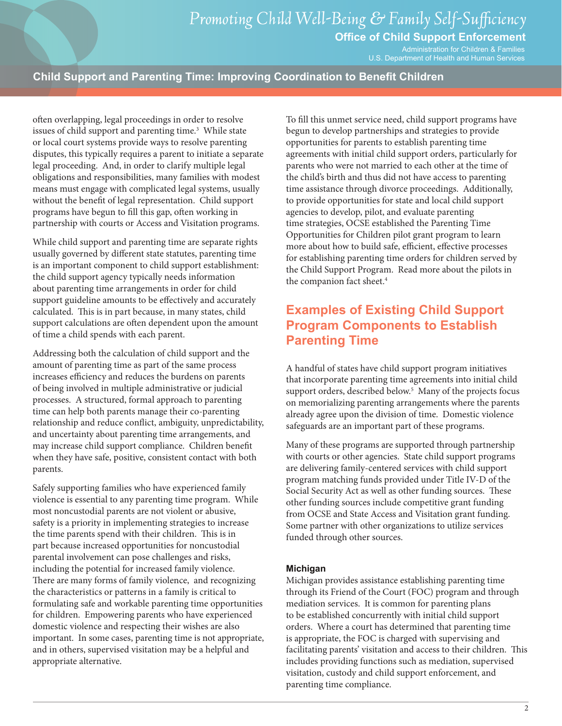**Office of Child Support Enforcement**

Administration for Children & Families U.S. Department of Health and Human Services

#### **Child Support and Parenting Time: Improving Coordination to Benefit Children**

often overlapping, legal proceedings in order to resolve issues of child support and parenting time.<sup>3</sup> While state or local court systems provide ways to resolve parenting disputes, this typically requires a parent to initiate a separate legal proceeding. And, in order to clarify multiple legal obligations and responsibilities, many families with modest means must engage with complicated legal systems, usually without the benefit of legal representation. Child support programs have begun to fill this gap, often working in partnership with courts or Access and Visitation programs.

While child support and parenting time are separate rights usually governed by different state statutes, parenting time is an important component to child support establishment: the child support agency typically needs information about parenting time arrangements in order for child support guideline amounts to be effectively and accurately calculated. This is in part because, in many states, child support calculations are often dependent upon the amount of time a child spends with each parent.

Addressing both the calculation of child support and the amount of parenting time as part of the same process increases efficiency and reduces the burdens on parents of being involved in multiple administrative or judicial processes. A structured, formal approach to parenting time can help both parents manage their co-parenting relationship and reduce conflict, ambiguity, unpredictability, and uncertainty about parenting time arrangements, and may increase child support compliance. Children benefit when they have safe, positive, consistent contact with both parents.

Safely supporting families who have experienced family violence is essential to any parenting time program. While most noncustodial parents are not violent or abusive, safety is a priority in implementing strategies to increase the time parents spend with their children. This is in part because increased opportunities for noncustodial parental involvement can pose challenges and risks, including the potential for increased family violence. There are many forms of family violence, and recognizing the characteristics or patterns in a family is critical to formulating safe and workable parenting time opportunities for children. Empowering parents who have experienced domestic violence and respecting their wishes are also important. In some cases, parenting time is not appropriate, and in others, supervised visitation may be a helpful and appropriate alternative.

To fill this unmet service need, child support programs have begun to develop partnerships and strategies to provide opportunities for parents to establish parenting time agreements with initial child support orders, particularly for parents who were not married to each other at the time of the child's birth and thus did not have access to parenting time assistance through divorce proceedings. Additionally, to provide opportunities for state and local child support agencies to develop, pilot, and evaluate parenting time strategies, OCSE established the Parenting Time Opportunities for Children pilot grant program to learn more about how to build safe, efficient, effective processes for establishing parenting time orders for children served by the Child Support Program. Read more about the pilots in the companion fact sheet.<sup>4</sup>

## **Examples of Existing Child Support Program Components to Establish Parenting Time**

A handful of states have child support program initiatives that incorporate parenting time agreements into initial child support orders, described below.<sup>5</sup> Many of the projects focus on memorializing parenting arrangements where the parents already agree upon the division of time. Domestic violence safeguards are an important part of these programs.

Many of these programs are supported through partnership with courts or other agencies. State child support programs are delivering family-centered services with child support program matching funds provided under Title IV-D of the Social Security Act as well as other funding sources. These other funding sources include competitive grant funding from OCSE and State Access and Visitation grant funding. Some partner with other organizations to utilize services funded through other sources.

#### **Michigan**

Michigan provides assistance establishing parenting time through its Friend of the Court (FOC) program and through mediation services. It is common for parenting plans to be established concurrently with initial child support orders. Where a court has determined that parenting time is appropriate, the FOC is charged with supervising and facilitating parents' visitation and access to their children. This includes providing functions such as mediation, supervised visitation, custody and child support enforcement, and parenting time compliance.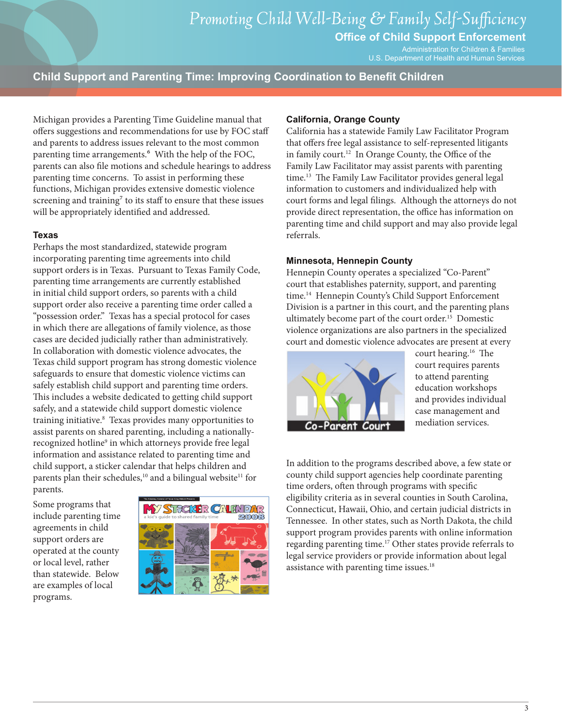**Office of Child Support Enforcement**

Administration for Children & Families U.S. Department of Health and Human Services

**Child Support and Parenting Time: Improving Coordination to Benefit Children**

Michigan provides a Parenting Time Guideline manual that offers suggestions and recommendations for use by FOC staff and parents to address issues relevant to the most common parenting time arrangements.<sup>6</sup> With the help of the FOC, parents can also file motions and schedule hearings to address parenting time concerns. To assist in performing these functions, Michigan provides extensive domestic violence screening and training<sup>7</sup> to its staff to ensure that these issues will be appropriately identified and addressed.

#### **Texas**

Perhaps the most standardized, statewide program incorporating parenting time agreements into child support orders is in Texas. Pursuant to Texas Family Code, parenting time arrangements are currently established in initial child support orders, so parents with a child support order also receive a parenting time order called a "possession order." Texas has a special protocol for cases in which there are allegations of family violence, as those cases are decided judicially rather than administratively. In collaboration with domestic violence advocates, the Texas child support program has strong domestic violence safeguards to ensure that domestic violence victims can safely establish child support and parenting time orders. This includes a website dedicated to getting child support safely, and a statewide child support domestic violence training initiative.8 Texas provides many opportunities to assist parents on shared parenting, including a nationallyrecognized hotline<sup>9</sup> in which attorneys provide free legal information and assistance related to parenting time and child support, a sticker calendar that helps children and parents plan their schedules,<sup>10</sup> and a bilingual website<sup>11</sup> for parents.

Some programs that include parenting time agreements in child support orders are operated at the county or local level, rather than statewide. Below are examples of local programs.



#### **California, Orange County**

California has a statewide Family Law Facilitator Program that offers free legal assistance to self-represented litigants in family court.12 In Orange County, the Office of the Family Law Facilitator may assist parents with parenting time.<sup>13</sup> The Family Law Facilitator provides general legal information to customers and individualized help with court forms and legal filings. Although the attorneys do not provide direct representation, the office has information on parenting time and child support and may also provide legal referrals.

#### **Minnesota, Hennepin County**

Hennepin County operates a specialized "Co-Parent" court that establishes paternity, support, and parenting time.<sup>14</sup> Hennepin County's Child Support Enforcement Division is a partner in this court, and the parenting plans ultimately become part of the court order.15 Domestic violence organizations are also partners in the specialized court and domestic violence advocates are present at every



court hearing.16 The court requires parents to attend parenting education workshops and provides individual case management and mediation services.

In addition to the programs described above, a few state or county child support agencies help coordinate parenting time orders, often through programs with specific eligibility criteria as in several counties in South Carolina, Connecticut, Hawaii, Ohio, and certain judicial districts in Tennessee. In other states, such as North Dakota, the child support program provides parents with online information regarding parenting time.17 Other states provide referrals to legal service providers or provide information about legal assistance with parenting time issues.<sup>18</sup>